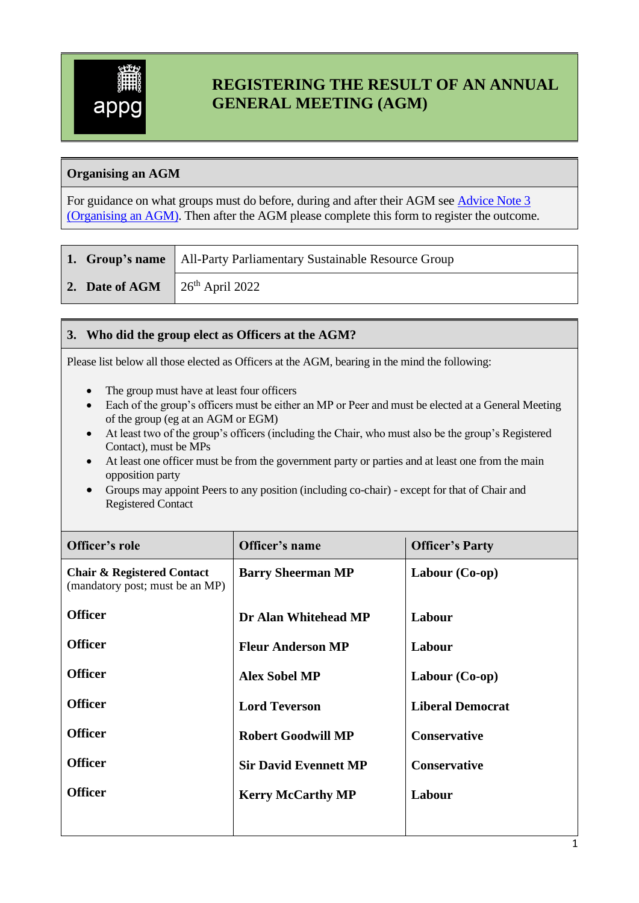

# **REGISTERING THE RESULT OF AN ANNUAL GENERAL MEETING (AGM)**

## **Organising an AGM**

For guidance on what groups must do before, during and after their AGM see [Advice Note 3](http://www.parliament.uk/documents/pcfs/all-party-groups/advice-notes/advice-note-3.pdf)  [\(Organising](http://www.parliament.uk/documents/pcfs/all-party-groups/advice-notes/advice-note-3.pdf) an AGM). Then after the AGM please complete this form to register the outcome.

|  |                                          | 1. Group's name   All-Party Parliamentary Sustainable Resource Group |
|--|------------------------------------------|----------------------------------------------------------------------|
|  | 2. Date of AGM $\int 26^{th}$ April 2022 |                                                                      |

#### **3. Who did the group elect as Officers at the AGM?**

Please list below all those elected as Officers at the AGM, bearing in the mind the following:

- The group must have at least four officers
- Each of the group's officers must be either an MP or Peer and must be elected at a General Meeting of the group (eg at an AGM or EGM)
- At least two of the group's officers (including the Chair, who must also be the group's Registered Contact), must be MPs
- At least one officer must be from the government party or parties and at least one from the main opposition party
- Groups may appoint Peers to any position (including co-chair) except for that of Chair and Registered Contact

| Officer's role                                                           | Officer's name                               | <b>Officer's Party</b>  |  |
|--------------------------------------------------------------------------|----------------------------------------------|-------------------------|--|
| <b>Chair &amp; Registered Contact</b><br>(mandatory post; must be an MP) | Labour $(Co-op)$<br><b>Barry Sheerman MP</b> |                         |  |
| <b>Officer</b>                                                           | Dr Alan Whitehead MP                         | Labour                  |  |
| <b>Officer</b>                                                           | <b>Fleur Anderson MP</b>                     | Labour                  |  |
| <b>Officer</b>                                                           | <b>Alex Sobel MP</b>                         | Labour $(Co-op)$        |  |
| <b>Officer</b>                                                           | <b>Lord Teverson</b>                         | <b>Liberal Democrat</b> |  |
| <b>Officer</b>                                                           | <b>Robert Goodwill MP</b>                    | <b>Conservative</b>     |  |
| <b>Officer</b>                                                           | <b>Sir David Evennett MP</b>                 | <b>Conservative</b>     |  |
| <b>Officer</b>                                                           | <b>Kerry McCarthy MP</b>                     | Labour                  |  |
|                                                                          |                                              |                         |  |

1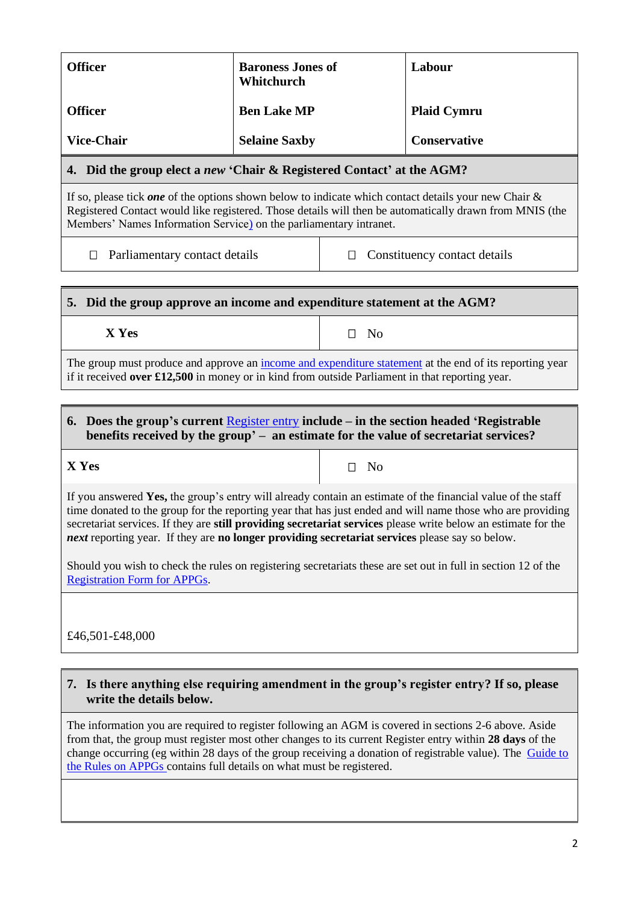| <b>Officer</b>                                                                                                                                                                                                                                                                                                                                                                                                                                             | <b>Baroness Jones of</b><br>Whitchurch                                                                                                                                                                             |                                   | Labour             |  |  |  |  |
|------------------------------------------------------------------------------------------------------------------------------------------------------------------------------------------------------------------------------------------------------------------------------------------------------------------------------------------------------------------------------------------------------------------------------------------------------------|--------------------------------------------------------------------------------------------------------------------------------------------------------------------------------------------------------------------|-----------------------------------|--------------------|--|--|--|--|
| <b>Officer</b>                                                                                                                                                                                                                                                                                                                                                                                                                                             | <b>Ben Lake MP</b>                                                                                                                                                                                                 |                                   | <b>Plaid Cymru</b> |  |  |  |  |
| <b>Vice-Chair</b>                                                                                                                                                                                                                                                                                                                                                                                                                                          | <b>Selaine Saxby</b>                                                                                                                                                                                               |                                   | Conservative       |  |  |  |  |
| 4. Did the group elect a new 'Chair & Registered Contact' at the AGM?                                                                                                                                                                                                                                                                                                                                                                                      |                                                                                                                                                                                                                    |                                   |                    |  |  |  |  |
| If so, please tick one of the options shown below to indicate which contact details your new Chair $\&$<br>Registered Contact would like registered. Those details will then be automatically drawn from MNIS (the<br>Members' Names Information Service) on the parliamentary intranet.                                                                                                                                                                   |                                                                                                                                                                                                                    |                                   |                    |  |  |  |  |
| Parliamentary contact details<br>$\Box$                                                                                                                                                                                                                                                                                                                                                                                                                    |                                                                                                                                                                                                                    | Constituency contact details<br>П |                    |  |  |  |  |
| 5. Did the group approve an income and expenditure statement at the AGM?                                                                                                                                                                                                                                                                                                                                                                                   |                                                                                                                                                                                                                    |                                   |                    |  |  |  |  |
| X Yes                                                                                                                                                                                                                                                                                                                                                                                                                                                      |                                                                                                                                                                                                                    | No<br>П                           |                    |  |  |  |  |
| The group must produce and approve an <i>income and expenditure statement</i> at the end of its reporting year<br>if it received over £12,500 in money or in kind from outside Parliament in that reporting year.                                                                                                                                                                                                                                          |                                                                                                                                                                                                                    |                                   |                    |  |  |  |  |
| 6. Does the group's current $\frac{Reject}{c}$ entry include – in the section headed 'Registrable'                                                                                                                                                                                                                                                                                                                                                         |                                                                                                                                                                                                                    |                                   |                    |  |  |  |  |
| benefits received by the group' - an estimate for the value of secretariat services?                                                                                                                                                                                                                                                                                                                                                                       |                                                                                                                                                                                                                    |                                   |                    |  |  |  |  |
| X Yes                                                                                                                                                                                                                                                                                                                                                                                                                                                      |                                                                                                                                                                                                                    | N <sub>o</sub><br>П               |                    |  |  |  |  |
| If you answered Yes, the group's entry will already contain an estimate of the financial value of the staff<br>time donated to the group for the reporting year that has just ended and will name those who are providing<br>secretariat services. If they are still providing secretariat services please write below an estimate for the<br><i>next</i> reporting year. If they are <b>no longer providing secretariat services</b> please say so below. |                                                                                                                                                                                                                    |                                   |                    |  |  |  |  |
| Should you wish to check the rules on registering secretariats these are set out in full in section 12 of the<br><b>Registration Form for APPGs.</b>                                                                                                                                                                                                                                                                                                       |                                                                                                                                                                                                                    |                                   |                    |  |  |  |  |
|                                                                                                                                                                                                                                                                                                                                                                                                                                                            |                                                                                                                                                                                                                    |                                   |                    |  |  |  |  |
| £46,501-£48,000                                                                                                                                                                                                                                                                                                                                                                                                                                            |                                                                                                                                                                                                                    |                                   |                    |  |  |  |  |
| 7. Is there anything else requiring amendment in the group's register entry? If so, please<br>write the details below.                                                                                                                                                                                                                                                                                                                                     |                                                                                                                                                                                                                    |                                   |                    |  |  |  |  |
|                                                                                                                                                                                                                                                                                                                                                                                                                                                            | The information you are required to register following an AGM is covered in sections 2-6 above. Aside<br>from that, the group must register most other changes to its current Register entry within 28 days of the |                                   |                    |  |  |  |  |

from that, the group must register most other changes to its current Register entry within **28 days** of the change occurring (eg within 28 days of the group receiving a donation of registrable value). The Guide to [the Rules on APPGs](https://www.parliament.uk/documents/pcfs/all-party-groups/guide-to-the-rules-on-appgs.pdf) contains full details on what must be registered.